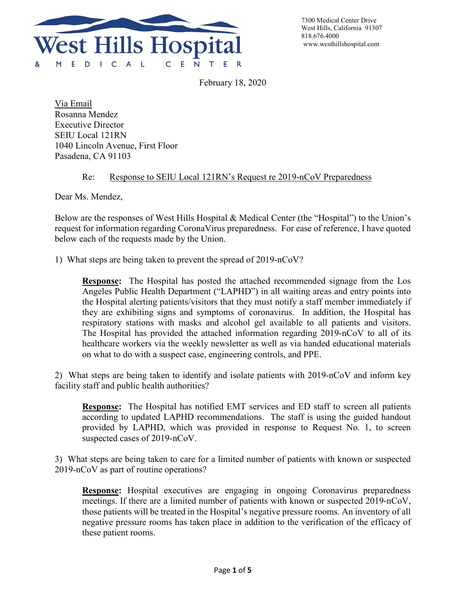

7300 Medical Center Drive West Hills, California 91307 818.676.4000

February 18, 2020

Via Email Rosanna Mendez Executive Director SEIU Local 121RN 1040 Lincoln Avenue, First Floor Pasadena, CA 91103

## Re: Response to SEIU Local 121RN's Request re 2019-nCoV Preparedness

Dear Ms. Mendez,

Below are the responses of West Hills Hospital & Medical Center (the "Hospital") to the Union's request for information regarding CoronaVirus preparedness. For ease of reference, I have quoted below each of the requests made by the Union.

1) What steps are being taken to prevent the spread of 2019-nCoV?

**Response:** The Hospital has posted the attached recommended signage from the Los Angeles Public Health Department ("LAPHD") in all waiting areas and entry points into the Hospital alerting patients/visitors that they must notify a staff member immediately if they are exhibiting signs and symptoms of coronavirus. In addition, the Hospital has respiratory stations with masks and alcohol gel available to all patients and visitors. The Hospital has provided the attached information regarding 2019-nCoV to all of its healthcare workers via the weekly newsletter as well as via handed educational materials on what to do with a suspect case, engineering controls, and PPE.

2) What steps are being taken to identify and isolate patients with 2019-nCoV and inform key facility staff and public health authorities?

**Response:** The Hospital has notified EMT services and ED staff to screen all patients according to updated LAPHD recommendations. The staff is using the guided handout provided by LAPHD, which was provided in response to Request No. 1, to screen suspected cases of 2019-nCoV.

3) What steps are being taken to care for a limited number of patients with known or suspected 2019-nCoV as part of routine operations?

**Response:** Hospital executives are engaging in ongoing Coronavirus preparedness meetings. If there are a limited number of patients with known or suspected 2019-nCoV, those patients will be treated in the Hospital's negative pressure rooms. An inventory of all negative pressure rooms has taken place in addition to the verification of the efficacy of these patient rooms.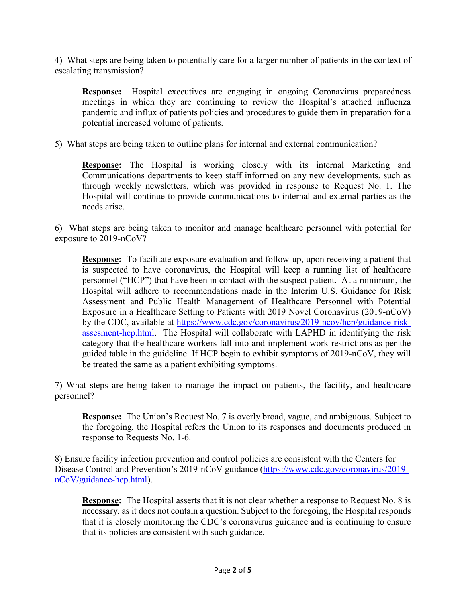4) What steps are being taken to potentially care for a larger number of patients in the context of escalating transmission?

**Response:** Hospital executives are engaging in ongoing Coronavirus preparedness meetings in which they are continuing to review the Hospital's attached influenza pandemic and influx of patients policies and procedures to guide them in preparation for a potential increased volume of patients.

5) What steps are being taken to outline plans for internal and external communication?

**Response:** The Hospital is working closely with its internal Marketing and Communications departments to keep staff informed on any new developments, such as through weekly newsletters, which was provided in response to Request No. 1. The Hospital will continue to provide communications to internal and external parties as the needs arise.

6) What steps are being taken to monitor and manage healthcare personnel with potential for exposure to 2019-nCoV?

**Response:** To facilitate exposure evaluation and follow-up, upon receiving a patient that is suspected to have coronavirus, the Hospital will keep a running list of healthcare personnel ("HCP") that have been in contact with the suspect patient. At a minimum, the Hospital will adhere to recommendations made in the Interim U.S. Guidance for Risk Assessment and Public Health Management of Healthcare Personnel with Potential Exposure in a Healthcare Setting to Patients with 2019 Novel Coronavirus (2019-nCoV) by the CDC, available at [https://www.cdc.gov/coronavirus/2019-ncov/hcp/guidance-risk](https://www.cdc.gov/coronavirus/2019-ncov/hcp/guidance-risk-assesment-hcp.html)[assesment-hcp.html.](https://www.cdc.gov/coronavirus/2019-ncov/hcp/guidance-risk-assesment-hcp.html) The Hospital will collaborate with LAPHD in identifying the risk category that the healthcare workers fall into and implement work restrictions as per the guided table in the guideline. If HCP begin to exhibit symptoms of 2019-nCoV, they will be treated the same as a patient exhibiting symptoms.

7) What steps are being taken to manage the impact on patients, the facility, and healthcare personnel?

**Response:** The Union's Request No. 7 is overly broad, vague, and ambiguous. Subject to the foregoing, the Hospital refers the Union to its responses and documents produced in response to Requests No. 1-6.

8) Ensure facility infection prevention and control policies are consistent with the Centers for Disease Control and Prevention's 2019-nCoV guidance [\(https://www.cdc.gov/coronavirus/2019](https://protect-us.mimecast.com/s/8FNQCJ6EyEI0YAVTVhxks?domain=cdc.gov) [nCoV/guidance-hcp.html\)](https://protect-us.mimecast.com/s/8FNQCJ6EyEI0YAVTVhxks?domain=cdc.gov).

**Response:** The Hospital asserts that it is not clear whether a response to Request No. 8 is necessary, as it does not contain a question. Subject to the foregoing, the Hospital responds that it is closely monitoring the CDC's coronavirus guidance and is continuing to ensure that its policies are consistent with such guidance.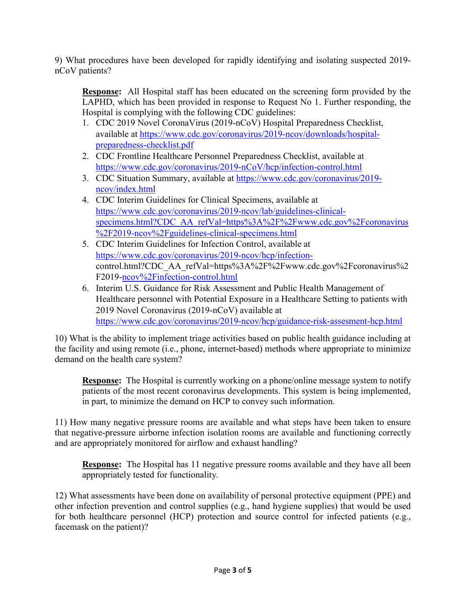9) What procedures have been developed for rapidly identifying and isolating suspected 2019 nCoV patients?

**Response:** All Hospital staff has been educated on the screening form provided by the LAPHD, which has been provided in response to Request No 1. Further responding, the Hospital is complying with the following CDC guidelines:

- 1. CDC 2019 Novel CoronaVirus (2019-nCoV) Hospital Preparedness Checklist, available at [https://www.cdc.gov/coronavirus/2019-ncov/downloads/hospital](https://protect-us.mimecast.com/s/3t_oCxkonocG7DNI8q3mM?domain=cdc.gov)[preparedness-checklist.pdf](https://protect-us.mimecast.com/s/3t_oCxkonocG7DNI8q3mM?domain=cdc.gov)
- 2. CDC Frontline Healthcare Personnel Preparedness Checklist, available at [https://www.cdc.gov/coronavirus/2019-nCoV/hcp/infection-control.html](https://protect-us.mimecast.com/s/MIV5CyPpopIj8KVhMZIRf?domain=cdc.gov)
- 3. CDC Situation Summary, available at [https://www.cdc.gov/coronavirus/2019](https://protect-us.mimecast.com/s/FlVaCzpqvqIPkEVfg4pRr?domain=cdc.gov) [ncov/index.html](https://protect-us.mimecast.com/s/FlVaCzpqvqIPkEVfg4pRr?domain=cdc.gov)
- 4. CDC Interim Guidelines for Clinical Specimens, available at [https://www.cdc.gov/coronavirus/2019-ncov/lab/guidelines-clinical](https://protect-us.mimecast.com/s/xAYeCAD8N8ImwBqTYTZ9Y?domain=cdc.gov)[specimens.html?CDC\\_AA\\_refVal=https%3A%2F%2Fwww.cdc.gov%2Fcoronavirus](https://protect-us.mimecast.com/s/xAYeCAD8N8ImwBqTYTZ9Y?domain=cdc.gov) [%2F2019-ncov%2Fguidelines-clinical-specimens.html](https://protect-us.mimecast.com/s/xAYeCAD8N8ImwBqTYTZ9Y?domain=cdc.gov)
- 5. CDC Interim Guidelines for Infection Control, available at [https://www.cdc.gov/coronavirus/2019-ncov/hcp/infection](https://protect-us.mimecast.com/s/Ydh3CBB1N1TZw02sWGGMs?domain=cdc.gov)[control.html?CDC\\_AA\\_refVal=https%3A%2F%2Fwww.cdc.gov%2Fcoronavirus%2](https://protect-us.mimecast.com/s/Ydh3CBB1N1TZw02sWGGMs?domain=cdc.gov) [F2019-ncov%2Finfection-control.html](https://protect-us.mimecast.com/s/Ydh3CBB1N1TZw02sWGGMs?domain=cdc.gov)
- 6. Interim U.S. Guidance for Risk Assessment and Public Health Management of Healthcare personnel with Potential Exposure in a Healthcare Setting to patients with 2019 Novel Coronavirus (2019-nCoV) available at https://www.cdc.gov/coronavirus/2019-ncov/hcp/guidance-risk-assesment-hcp.html

10) What is the ability to implement triage activities based on public health guidance including at the facility and using remote (i.e., phone, internet-based) methods where appropriate to minimize demand on the health care system?

**Response:** The Hospital is currently working on a phone/online message system to notify patients of the most recent coronavirus developments. This system is being implemented, in part, to minimize the demand on HCP to convey such information.

11) How many negative pressure rooms are available and what steps have been taken to ensure that negative-pressure airborne infection isolation rooms are available and functioning correctly and are appropriately monitored for airflow and exhaust handling?

**Response:** The Hospital has 11 negative pressure rooms available and they have all been appropriately tested for functionality.

12) What assessments have been done on availability of personal protective equipment (PPE) and other infection prevention and control supplies (e.g., hand hygiene supplies) that would be used for both healthcare personnel (HCP) protection and source control for infected patients (e.g., facemask on the patient)?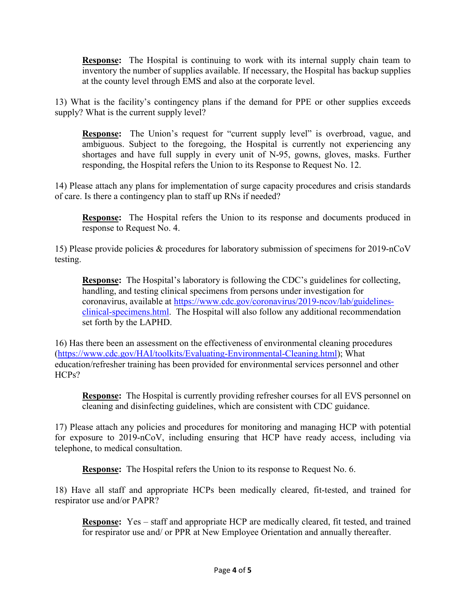**Response:** The Hospital is continuing to work with its internal supply chain team to inventory the number of supplies available. If necessary, the Hospital has backup supplies at the county level through EMS and also at the corporate level.

13) What is the facility's contingency plans if the demand for PPE or other supplies exceeds supply? What is the current supply level?

**Response:** The Union's request for "current supply level" is overbroad, vague, and ambiguous. Subject to the foregoing, the Hospital is currently not experiencing any shortages and have full supply in every unit of N-95, gowns, gloves, masks. Further responding, the Hospital refers the Union to its Response to Request No. 12.

14) Please attach any plans for implementation of surge capacity procedures and crisis standards of care. Is there a contingency plan to staff up RNs if needed?

**Response:** The Hospital refers the Union to its response and documents produced in response to Request No. 4.

15) Please provide policies & procedures for laboratory submission of specimens for 2019-nCoV testing.

**Response:** The Hospital's laboratory is following the CDC's guidelines for collecting, handling, and testing clinical specimens from persons under investigation for coronavirus, available at [https://www.cdc.gov/coronavirus/2019-ncov/lab/guidelines](https://www.cdc.gov/coronavirus/2019-ncov/lab/guidelines-clinical-specimens.html)[clinical-specimens.html.](https://www.cdc.gov/coronavirus/2019-ncov/lab/guidelines-clinical-specimens.html) The Hospital will also follow any additional recommendation set forth by the LAPHD.

16) Has there been an assessment on the effectiveness of environmental cleaning procedures [\(https://www.cdc.gov/HAI/toolkits/Evaluating-Environmental-Cleaning.html\)](https://www.cdc.gov/HAI/toolkits/Evaluating-Environmental-Cleaning.html); What education/refresher training has been provided for environmental services personnel and other HCPs?

**Response:** The Hospital is currently providing refresher courses for all EVS personnel on cleaning and disinfecting guidelines, which are consistent with CDC guidance.

17) Please attach any policies and procedures for monitoring and managing HCP with potential for exposure to 2019-nCoV, including ensuring that HCP have ready access, including via telephone, to medical consultation.

**Response:** The Hospital refers the Union to its response to Request No. 6.

18) Have all staff and appropriate HCPs been medically cleared, fit-tested, and trained for respirator use and/or PAPR?

**Response:** Yes – staff and appropriate HCP are medically cleared, fit tested, and trained for respirator use and/ or PPR at New Employee Orientation and annually thereafter.